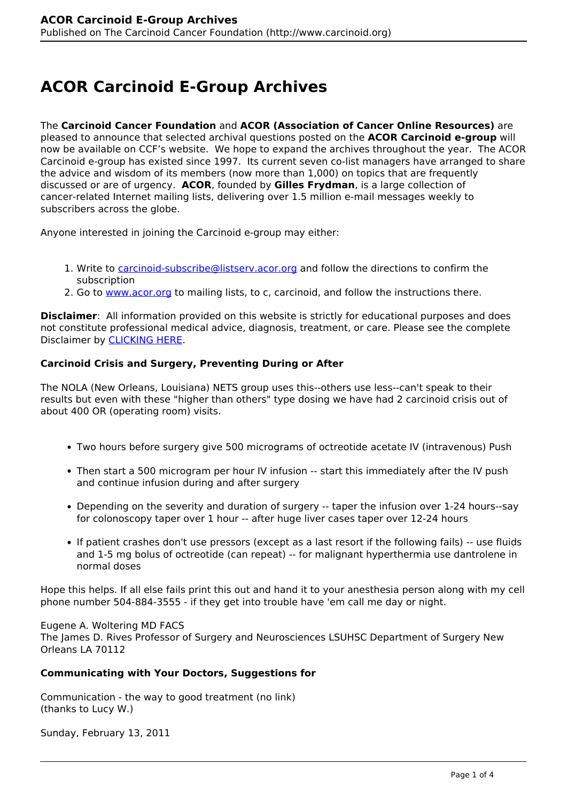# **ACOR Carcinoid E-Group Archives**

The **Carcinoid Cancer Foundation** and **ACOR (Association of Cancer Online Resources)** are pleased to announce that selected archival questions posted on the **ACOR Carcinoid e-group** will now be available on CCF's website. We hope to expand the archives throughout the year. The ACOR Carcinoid e-group has existed since 1997. Its current seven co-list managers have arranged to share the advice and wisdom of its members (now more than 1,000) on topics that are frequently discussed or are of urgency. **ACOR**, founded by **Gilles Frydman**, is a large collection of cancer-related Internet mailing lists, delivering over 1.5 million e-mail messages weekly to subscribers across the globe.

Anyone interested in joining the Carcinoid e-group may either:

- 1. Write to [carcinoid-subscribe@listserv.acor.org](mailto:carcinoid-subscribe@listserv.acor.org) and follow the directions to confirm the subscription
- 2. Go to [www.acor.org](http://www.acor.org) to mailing lists, to c, carcinoid, and follow the instructions there.

**Disclaimer**: All information provided on this website is strictly for educational purposes and does not constitute professional medical advice, diagnosis, treatment, or care. Please see the complete Disclaimer by [CLICKING HERE.](http://www.carcinoid.org/content/disclaimer)

# **Carcinoid Crisis and Surgery, Preventing During or After**

The NOLA (New Orleans, Louisiana) NETS group uses this--others use less--can't speak to their results but even with these "higher than others" type dosing we have had 2 carcinoid crisis out of about 400 OR (operating room) visits.

- Two hours before surgery give 500 micrograms of octreotide acetate IV (intravenous) Push
- Then start a 500 microgram per hour IV infusion -- start this immediately after the IV push and continue infusion during and after surgery
- Depending on the severity and duration of surgery -- taper the infusion over 1-24 hours--say for colonoscopy taper over 1 hour -- after huge liver cases taper over 12-24 hours
- If patient crashes don't use pressors (except as a last resort if the following fails) -- use fluids and 1-5 mg bolus of octreotide (can repeat) -- for malignant hyperthermia use dantrolene in normal doses

Hope this helps. If all else fails print this out and hand it to your anesthesia person along with my cell phone number 504-884-3555 - if they get into trouble have 'em call me day or night.

Eugene A. Woltering MD FACS The James D. Rives Professor of Surgery and Neurosciences LSUHSC Department of Surgery New Orleans LA 70112

#### **Communicating with Your Doctors, Suggestions for**

Communication - the way to good treatment (no link) (thanks to Lucy W.)

Sunday, February 13, 2011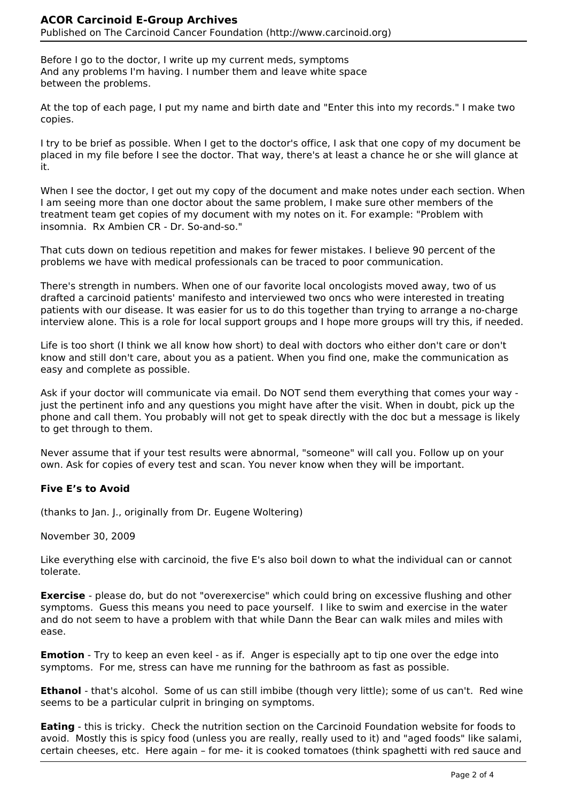Before I go to the doctor, I write up my current meds, symptoms And any problems I'm having. I number them and leave white space between the problems.

At the top of each page, I put my name and birth date and "Enter this into my records." I make two copies.

I try to be brief as possible. When I get to the doctor's office, I ask that one copy of my document be placed in my file before I see the doctor. That way, there's at least a chance he or she will glance at it.

When I see the doctor, I get out my copy of the document and make notes under each section. When I am seeing more than one doctor about the same problem, I make sure other members of the treatment team get copies of my document with my notes on it. For example: "Problem with insomnia. Rx Ambien CR - Dr. So-and-so."

That cuts down on tedious repetition and makes for fewer mistakes. I believe 90 percent of the problems we have with medical professionals can be traced to poor communication.

There's strength in numbers. When one of our favorite local oncologists moved away, two of us drafted a carcinoid patients' manifesto and interviewed two oncs who were interested in treating patients with our disease. It was easier for us to do this together than trying to arrange a no-charge interview alone. This is a role for local support groups and I hope more groups will try this, if needed.

Life is too short (I think we all know how short) to deal with doctors who either don't care or don't know and still don't care, about you as a patient. When you find one, make the communication as easy and complete as possible.

Ask if your doctor will communicate via email. Do NOT send them everything that comes your way just the pertinent info and any questions you might have after the visit. When in doubt, pick up the phone and call them. You probably will not get to speak directly with the doc but a message is likely to get through to them.

Never assume that if your test results were abnormal, "someone" will call you. Follow up on your own. Ask for copies of every test and scan. You never know when they will be important.

# **Five E's to Avoid**

(thanks to Jan. J., originally from Dr. Eugene Woltering)

November 30, 2009

Like everything else with carcinoid, the five E's also boil down to what the individual can or cannot tolerate.

**Exercise** - please do, but do not "overexercise" which could bring on excessive flushing and other symptoms. Guess this means you need to pace yourself. I like to swim and exercise in the water and do not seem to have a problem with that while Dann the Bear can walk miles and miles with ease.

**Emotion** - Try to keep an even keel - as if. Anger is especially apt to tip one over the edge into symptoms. For me, stress can have me running for the bathroom as fast as possible.

**Ethanol** - that's alcohol. Some of us can still imbibe (though very little); some of us can't. Red wine seems to be a particular culprit in bringing on symptoms.

**Eating** - this is tricky. Check the nutrition section on the Carcinoid Foundation website for foods to avoid. Mostly this is spicy food (unless you are really, really used to it) and "aged foods" like salami, certain cheeses, etc. Here again – for me- it is cooked tomatoes (think spaghetti with red sauce and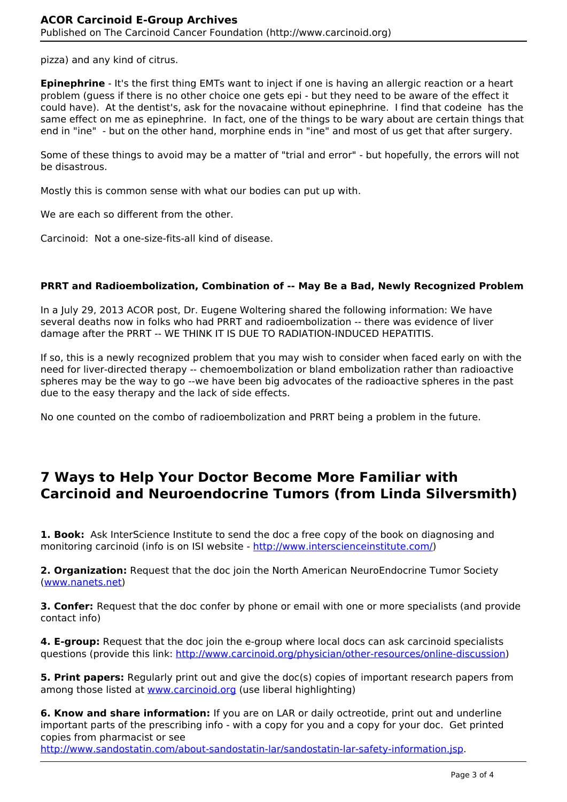pizza) and any kind of citrus.

**Epinephrine** - It's the first thing EMTs want to inject if one is having an allergic reaction or a heart problem (guess if there is no other choice one gets epi - but they need to be aware of the effect it could have). At the dentist's, ask for the novacaine without epinephrine. I find that codeine has the same effect on me as epinephrine. In fact, one of the things to be wary about are certain things that end in "ine" - but on the other hand, morphine ends in "ine" and most of us get that after surgery.

Some of these things to avoid may be a matter of "trial and error" - but hopefully, the errors will not be disastrous.

Mostly this is common sense with what our bodies can put up with.

We are each so different from the other.

Carcinoid: Not a one-size-fits-all kind of disease.

#### **PRRT and Radioembolization, Combination of -- May Be a Bad, Newly Recognized Problem**

In a July 29, 2013 ACOR post, Dr. Eugene Woltering shared the following information: We have several deaths now in folks who had PRRT and radioembolization -- there was evidence of liver damage after the PRRT -- WE THINK IT IS DUE TO RADIATION-INDUCED HEPATITIS.

If so, this is a newly recognized problem that you may wish to consider when faced early on with the need for liver-directed therapy -- chemoembolization or bland embolization rather than radioactive spheres may be the way to go --we have been big advocates of the radioactive spheres in the past due to the easy therapy and the lack of side effects.

No one counted on the combo of radioembolization and PRRT being a problem in the future.

# **7 Ways to Help Your Doctor Become More Familiar with Carcinoid and Neuroendocrine Tumors (from Linda Silversmith)**

**1. Book:** Ask InterScience Institute to send the doc a free copy of the book on diagnosing and monitoring carcinoid (info is on ISI website - <http://www.interscienceinstitute.com/>)

**2. Organization:** Request that the doc join the North American NeuroEndocrine Tumor Society [\(www.nanets.net\)](http://www.nanets.net)

**3. Confer:** Request that the doc confer by phone or email with one or more specialists (and provide contact info)

**4. E-group:** Request that the doc join the e-group where local docs can ask carcinoid specialists questions (provide this link: [http://www.carcinoid.org/physician/other-resources/online-discussion\)](http://www.carcinoid.org/physician/other-resources/online-discussion)

**5. Print papers:** Regularly print out and give the doc(s) copies of important research papers from among those listed at [www.carcinoid.org](http://www.carcinoid.org/content/medical-reviews) (use liberal highlighting)

**6. Know and share information:** If you are on LAR or daily octreotide, print out and underline important parts of the prescribing info - with a copy for you and a copy for your doc. Get printed copies from pharmacist or see

[http://www.sandostatin.com/about-sandostatin-lar/sandostatin-lar-safety-information.jsp.](http://www.sandostatin.com/about-sandostatin-lar/sandostatin-lar-safety-information.jsp)